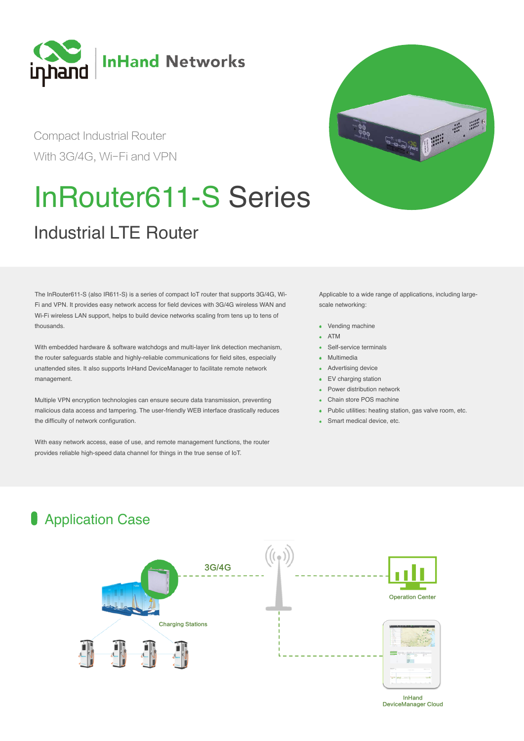

Compact Industrial Router With 3G/4G, Wi-Fi and VPN

# InRouter611-S Series



The InRouter611-S (also IR611-S) is a series of compact IoT router that supports 3G/4G, Wi-Fi and VPN. It provides easy network access for field devices with 3G/4G wireless WAN and Wi-Fi wireless LAN support, helps to build device networks scaling from tens up to tens of thousands.

With embedded hardware & software watchdogs and multi-layer link detection mechanism, the router safeguards stable and highly-reliable communications for field sites, especially unattended sites. It also supports InHand DeviceManager to facilitate remote network management.

Multiple VPN encryption technologies can ensure secure data transmission, preventing malicious data access and tampering. The user-friendly WEB interface drastically reduces the difficulty of network configuration.

With easy network access, ease of use, and remote management functions, the router provides reliable high-speed data channel for things in the true sense of IoT.

**Application Case** 



Applicable to a wide range of applications, including largescale networking:

- Vending machine
- ATM
- Self-service terminals
- Multimedia
- Advertising device
- EV charging station  $\bullet$
- Power distribution network
- Chain store POS machine
- Public utilities: heating station, gas valve room, etc.
- Smart medical device, etc.



#### DeviceManager Cloud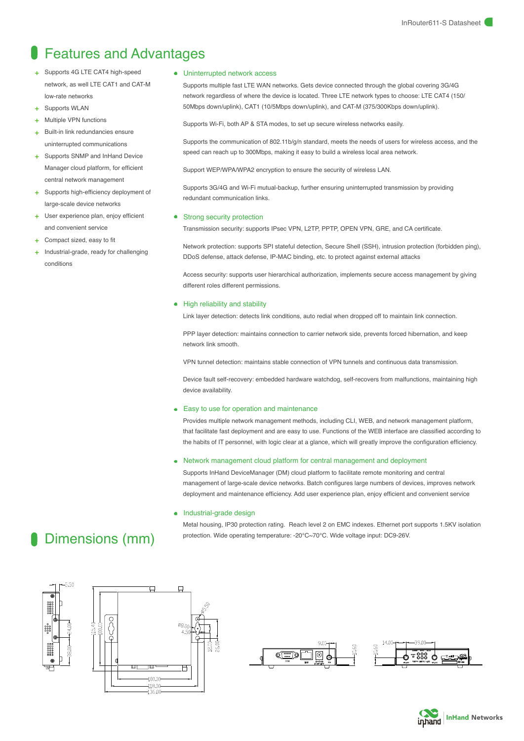## Features and Advantages

- Supports 4G LTE CAT4 high-speed network, as well LTE CAT1 and CAT-M low-rate networks
- Supports WLAN
- + Multiple VPN functions
- Built-in link redundancies ensure uninterrupted communications
- + Supports SNMP and InHand Device Manager cloud platform, for efficient central network management
- Supports high-efficiency deployment of large-scale device networks
- User experience plan, enjoy efficient and convenient service
- + Compact sized, easy to fit
- Industrial-grade, ready for challenging conditions

#### Uninterrupted network access

Supports multiple fast LTE WAN networks. Gets device connected through the global covering 3G/4G network regardless of where the device is located. Three LTE network types to choose: LTE CAT4 (150/ 50Mbps down/uplink), CAT1 (10/5Mbps down/uplink), and CAT-M (375/300Kbps down/uplink).

Supports Wi-Fi, both AP & STA modes, to set up secure wireless networks easily.

Supports the communication of 802.11b/g/n standard, meets the needs of users for wireless access, and the speed can reach up to 300Mbps, making it easy to build a wireless local area network.

Support WEP/WPA/WPA2 encryption to ensure the security of wireless LAN.

Supports 3G/4G and Wi-Fi mutual-backup, further ensuring uninterrupted transmission by providing redundant communication links.

#### Strong security protection

Transmission security: supports IPsec VPN, L2TP, PPTP, OPEN VPN, GRE, and CA certificate.

Network protection: supports SPI stateful detection, Secure Shell (SSH), intrusion protection (forbidden ping), DDoS defense, attack defense, IP-MAC binding, etc. to protect against external attacks

Access security: supports user hierarchical authorization, implements secure access management by giving different roles different permissions.

#### High reliability and stability

Link layer detection: detects link conditions, auto redial when dropped off to maintain link connection.

PPP layer detection: maintains connection to carrier network side, prevents forced hibernation, and keep network link smooth.

VPN tunnel detection: maintains stable connection of VPN tunnels and continuous data transmission.

Device fault self-recovery: embedded hardware watchdog, self-recovers from malfunctions, maintaining high device availability.

#### Easy to use for operation and maintenance

Provides multiple network management methods, including CLI, WEB, and network management platform, that facilitate fast deployment and are easy to use. Functions of the WEB interface are classified according to the habits of IT personnel, with logic clear at a glance, which will greatly improve the configuration efficiency.

#### Network management cloud platform for central management and deployment

Supports InHand DeviceManager (DM) cloud platform to facilitate remote monitoring and central management of large-scale device networks. Batch configures large numbers of devices, improves network deployment and maintenance efficiency. Add user experience plan, enjoy efficient and convenient service

#### Industrial-grade design

Metal housing, IP30 protection rating. Reach level 2 on EMC indexes. Ethernet port supports 1.5KV isolation protection. Wide operating temperature: -20℃~70℃. Wide voltage input: DC9-26V.





| 14.0 |                 |  |
|------|-----------------|--|
|      | 등 888           |  |
|      | WLANT<br>10,440 |  |



## Dimensions (mm)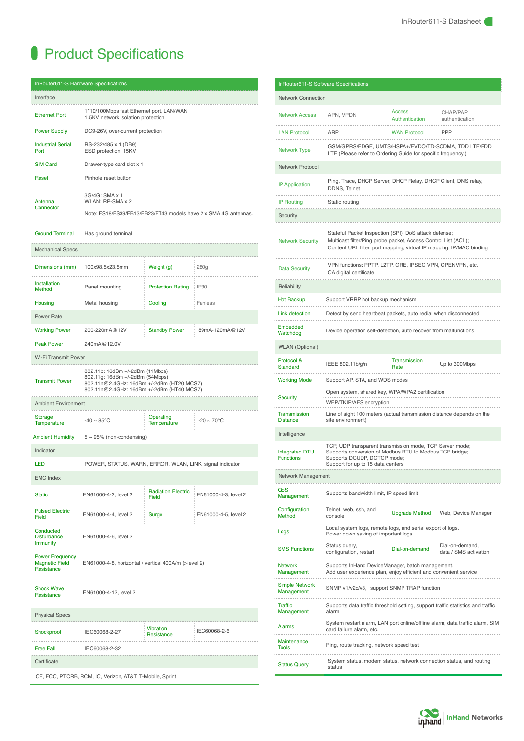## **Product Specifications**

|                                                               | <b>InRouter611-S Hardware Specifications</b>                                                                                                                 |                                    |                         |  |  |  |  |
|---------------------------------------------------------------|--------------------------------------------------------------------------------------------------------------------------------------------------------------|------------------------------------|-------------------------|--|--|--|--|
| Interface                                                     |                                                                                                                                                              |                                    |                         |  |  |  |  |
| <b>Ethernet Port</b>                                          | 1*10/100Mbps fast Ethernet port, LAN/WAN<br>1.5KV network isolation protection                                                                               |                                    |                         |  |  |  |  |
| <b>Power Supply</b>                                           | DC9-26V, over-current protection                                                                                                                             |                                    |                         |  |  |  |  |
| <b>Industrial Serial</b><br>Port                              | RS-232/485 x 1 (DB9)<br>ESD protection: 15KV                                                                                                                 |                                    |                         |  |  |  |  |
| <b>SIM Card</b>                                               | Drawer-type card slot x 1                                                                                                                                    |                                    |                         |  |  |  |  |
| Reset                                                         | .<br>Pinhole reset button                                                                                                                                    |                                    |                         |  |  |  |  |
| Antenna<br>Connector                                          | 3G/4G: SMA x 1<br>WLAN: RP-SMA x 2<br>Note: FS18/FS39/FB13/FB23/FT43 models have 2 x SMA 4G antennas.                                                        |                                    |                         |  |  |  |  |
| <b>Ground Terminal</b>                                        | Has ground terminal                                                                                                                                          |                                    |                         |  |  |  |  |
| <b>Mechanical Specs</b>                                       |                                                                                                                                                              |                                    |                         |  |  |  |  |
| Dimensions (mm)                                               | 100x98.5x23.5mm                                                                                                                                              | Weight (g)                         | 280g                    |  |  |  |  |
| <b>Installation</b><br>Method                                 | Panel mounting                                                                                                                                               | <b>Protection Rating</b>           | <b>IP30</b>             |  |  |  |  |
| Housing                                                       | Metal housing                                                                                                                                                | Cooling                            | Fanless                 |  |  |  |  |
| Power Rate                                                    |                                                                                                                                                              |                                    |                         |  |  |  |  |
| <b>Working Power</b>                                          | 200-220mA@12V<br>.                                                                                                                                           | <b>Standby Power</b>               | 89mA-120mA@12V          |  |  |  |  |
| <b>Peak Power</b>                                             | 240mA@12.0V                                                                                                                                                  |                                    |                         |  |  |  |  |
| <b>Wi-Fi Transmit Power</b>                                   |                                                                                                                                                              |                                    |                         |  |  |  |  |
| <b>Transmit Power</b>                                         | 802.11b: 16dBm +/-2dBm (11Mbps)<br>802.11g: 16dBm +/-2dBm (54Mbps)<br>802.11n@2.4GHz: 16dBm +/-2dBm (HT20 MCS7)<br>802.11n@2.4GHz: 16dBm +/-2dBm (HT40 MCS7) |                                    |                         |  |  |  |  |
| <b>Ambient Environment</b>                                    |                                                                                                                                                              |                                    |                         |  |  |  |  |
| Storage<br><b>Temperature</b>                                 | -40 $\sim$ 85°C                                                                                                                                              | Operating<br>Temperature           | $-20 \sim 70^{\circ}$ C |  |  |  |  |
| <b>Ambient Humidity</b>                                       | $5 \sim 95\%$ (non-condensing)                                                                                                                               |                                    |                         |  |  |  |  |
| Indicator                                                     |                                                                                                                                                              |                                    |                         |  |  |  |  |
| LED                                                           | POWER, STATUS, WARN, ERROR, WLAN, LINK, signal indicator                                                                                                     |                                    |                         |  |  |  |  |
| <b>EMC Index</b>                                              |                                                                                                                                                              |                                    |                         |  |  |  |  |
| <b>Static</b>                                                 | EN61000-4-2, level 2                                                                                                                                         | <b>Radiation Electric</b><br>Field | EN61000-4-3, level 2    |  |  |  |  |
| <b>Pulsed Electric</b><br>Field                               | EN61000-4-4, level 2                                                                                                                                         | Surge                              | EN61000-4-5, level 2    |  |  |  |  |
| Conducted<br><b>Disturbance</b><br><b>Immunity</b>            | EN61000-4-6, level 2                                                                                                                                         |                                    |                         |  |  |  |  |
| <b>Power Frequency</b><br><b>Magnetic Field</b><br>Resistance | EN61000-4-8, horizontal / vertical 400A/m (>level 2)                                                                                                         |                                    |                         |  |  |  |  |
| <b>Shock Wave</b><br>Resistance                               | EN61000-4-12, level 2                                                                                                                                        |                                    |                         |  |  |  |  |
| Physical Specs                                                |                                                                                                                                                              |                                    |                         |  |  |  |  |
| Shockproof                                                    | IEC60068-2-27                                                                                                                                                | <b>Vibration</b><br>Resistance     | IEC60068-2-6            |  |  |  |  |
| <b>Free Fall</b>                                              | IEC60068-2-32                                                                                                                                                |                                    |                         |  |  |  |  |
| Certificate                                                   |                                                                                                                                                              |                                    |                         |  |  |  |  |
| CE, FCC, PTCRB, RCM, IC, Verizon, AT&T, T-Mobile, Sprint      |                                                                                                                                                              |                                    |                         |  |  |  |  |

| <b>InRouter611-S Software Specifications</b> |                                                                                                                                                                                                 |                                 |                                          |  |  |  |
|----------------------------------------------|-------------------------------------------------------------------------------------------------------------------------------------------------------------------------------------------------|---------------------------------|------------------------------------------|--|--|--|
| <b>Network Connection</b>                    |                                                                                                                                                                                                 |                                 |                                          |  |  |  |
| <b>Network Access</b>                        | APN, VPDN                                                                                                                                                                                       | <b>Access</b><br>Authentication | CHAP/PAP<br>authentication               |  |  |  |
| <b>LAN Protocol</b>                          | <b>ARP</b>                                                                                                                                                                                      | <b>WAN Protocol</b>             | <b>PPP</b>                               |  |  |  |
| <b>Network Type</b>                          | GSM/GPRS/EDGE, UMTS/HSPA+/EVDO/TD-SCDMA, TDD LTE/FDD<br>LTE (Please refer to Ordering Guide for specific frequency.)                                                                            |                                 |                                          |  |  |  |
| Network Protocol                             |                                                                                                                                                                                                 |                                 |                                          |  |  |  |
| <b>IP Application</b>                        | Ping, Trace, DHCP Server, DHCP Relay, DHCP Client, DNS relay,<br>DDNS, Telnet                                                                                                                   |                                 |                                          |  |  |  |
| <b>IP Routing</b>                            | Static routing                                                                                                                                                                                  |                                 |                                          |  |  |  |
| Security                                     |                                                                                                                                                                                                 |                                 |                                          |  |  |  |
| <b>Network Security</b>                      | Stateful Packet Inspection (SPI), DoS attack defense;<br>Multicast filter/Ping probe packet, Access Control List (ACL);<br>Content URL filter, port mapping, virtual IP mapping, IP/MAC binding |                                 |                                          |  |  |  |
| <b>Data Security</b>                         | VPN functions: PPTP, L2TP, GRE, IPSEC VPN, OPENVPN, etc.<br>CA digital certificate                                                                                                              |                                 |                                          |  |  |  |
| Reliability                                  |                                                                                                                                                                                                 |                                 |                                          |  |  |  |
| <b>Hot Backup</b>                            | Support VRRP hot backup mechanism                                                                                                                                                               |                                 |                                          |  |  |  |
| <b>Link detection</b>                        | Detect by send heartbeat packets, auto redial when disconnected                                                                                                                                 |                                 |                                          |  |  |  |
| Embedded<br>Watchdog                         | Device operation self-detection, auto recover from malfunctions                                                                                                                                 |                                 |                                          |  |  |  |
| <b>WLAN</b> (Optional)                       |                                                                                                                                                                                                 |                                 |                                          |  |  |  |
| Protocol &<br><b>Standard</b>                | IEEE 802.11b/g/n                                                                                                                                                                                | <b>Transmission</b><br>Rate     | Up to 300Mbps                            |  |  |  |
| <b>Working Mode</b>                          | Support AP, STA, and WDS modes                                                                                                                                                                  |                                 |                                          |  |  |  |
| <b>Security</b>                              | Open system, shared key, WPA/WPA2 certification<br>WEP/TKIP/AES encryption                                                                                                                      |                                 |                                          |  |  |  |
| <b>Transmission</b><br><b>Distance</b>       | Line of sight 100 meters (actual transmission distance depends on the<br>site environment)                                                                                                      |                                 |                                          |  |  |  |
| Intelligence                                 |                                                                                                                                                                                                 |                                 |                                          |  |  |  |
| <b>Integrated DTU</b><br><b>Functions</b>    | TCP, UDP transparent transmission mode, TCP Server mode;<br>Supports conversion of Modbus RTU to Modbus TCP bridge;<br>Supports DCUDP, DCTCP mode;<br>Support for up to 15 data centers         |                                 |                                          |  |  |  |
| Network Management                           |                                                                                                                                                                                                 |                                 |                                          |  |  |  |
| QoS<br>Management                            | Supports bandwidth limit, IP speed limit                                                                                                                                                        |                                 |                                          |  |  |  |
| Configuration<br>Method                      | Telnet, web, ssh, and<br>console                                                                                                                                                                | <b>Upgrade Method</b>           | Web, Device Manager                      |  |  |  |
| Logs                                         | Local system logs, remote logs, and serial export of logs.<br>Power down saving of important logs.                                                                                              |                                 |                                          |  |  |  |
| <b>SMS Functions</b>                         | Status query,<br>configuration, restart                                                                                                                                                         | Dial-on-demand                  | Dial-on-demand.<br>data / SMS activation |  |  |  |
| <b>Network</b><br>Management                 | Supports InHand DeviceManager, batch management.<br>Add user experience plan, enjoy efficient and convenient service                                                                            |                                 |                                          |  |  |  |
| Simple Network<br>Management                 | SNMP v1/v2c/v3, support SNMP TRAP function                                                                                                                                                      |                                 |                                          |  |  |  |
| <b>Traffic</b><br>Management                 | Supports data traffic threshold setting, support traffic statistics and traffic<br>alarm                                                                                                        |                                 |                                          |  |  |  |
| <b>Alarms</b>                                | System restart alarm, LAN port online/offline alarm, data traffic alarm, SIM<br>card failure alarm, etc.                                                                                        |                                 |                                          |  |  |  |
| Maintenance<br><b>Tools</b>                  | Ping, route tracking, network speed test                                                                                                                                                        |                                 |                                          |  |  |  |
| <b>Status Query</b>                          | System status, modem status, network connection status, and routing<br>status                                                                                                                   |                                 |                                          |  |  |  |